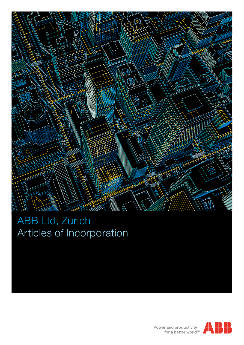

# ABB Ltd, Zurich Articles of Incorporation

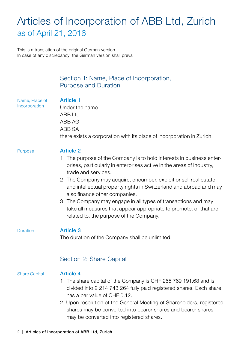# Articles of Incorporation of ABB Ltd, Zurich as of April 21, 2016

This is a translation of the original German version. In case of any discrepancy, the German version shall prevail.

Purpose

## Section 1: Name, Place of Incorporation, Purpose and Duration Article 1 Under the name ABB Ltd ABB AG ABB SA there exists a corporation with its place of incorporation in Zurich. Article 2 1 The purpose of the Company is to hold interests in business enterprises, particularly in enterprises active in the areas of industry, trade and services. 2 The Company may acquire, encumber, exploit or sell real estate and intellectual property rights in Switzerland and abroad and may also finance other companies. 3 The Company may engage in all types of transactions and may take all measures that appear appropriate to promote, or that are related to, the purpose of the Company. Article 3 The duration of the Company shall be unlimited. Name, Place of **Incorporation** Duration Share Capital Section 2: Share Capital Article 4 1 The share capital of the Company is CHF 265 769 191.68 and is divided into 2 214 743 264 fully paid registered shares. Each share has a par value of CHF 0.12. 2 Upon resolution of the General Meeting of Shareholders, registered shares may be converted into bearer shares and bearer shares

may be converted into registered shares.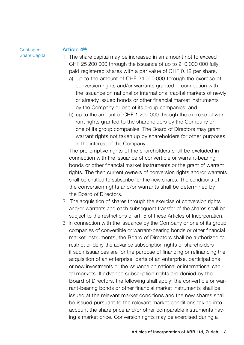**Contingent** Share Capital

#### Article 4bis

- 1 The share capital may be increased in an amount not to exceed CHF 25 200 000 through the issuance of up to 210 000 000 fully paid registered shares with a par value of CHF 0.12 per share,
	- a) up to the amount of CHF 24 000 000 through the exercise of conversion rights and/or warrants granted in connection with the issuance on national or international capital markets of newly or already issued bonds or other financial market instruments by the Company or one of its group companies, and
	- b) up to the amount of CHF 1 200 000 through the exercise of warrant rights granted to the shareholders by the Company or one of its group companies. The Board of Directors may grant warrant rights not taken up by shareholders for other purposes in the interest of the Company.

 The pre-emptive rights of the shareholders shall be excluded in connection with the issuance of convertible or warrant-bearing bonds or other financial market instruments or the grant of warrant rights. The then current owners of conversion rights and/or warrants shall be entitled to subscribe for the new shares. The conditions of the conversion rights and/or warrants shall be determined by the Board of Directors.

- 2 The acquisition of shares through the exercise of conversion rights and/or warrants and each subsequent transfer of the shares shall be subject to the restrictions of art. 5 of these Articles of Incorporation.
- 3 In connection with the issuance by the Company or one of its group companies of convertible or warrant-bearing bonds or other financial market instruments, the Board of Directors shall be authorized to restrict or deny the advance subscription rights of shareholders if such issuances are for the purpose of financing or refinancing the acquisition of an enterprise, parts of an enterprise, participations or new investments or the issuance on national or international capital markets. If advance subscription rights are denied by the Board of Directors, the following shall apply: the convertible or warrant-bearing bonds or other financial market instruments shall be issued at the relevant market conditions and the new shares shall be issued pursuant to the relevant market conditions taking into account the share price and/or other comparable instruments having a market price. Conversion rights may be exercised during a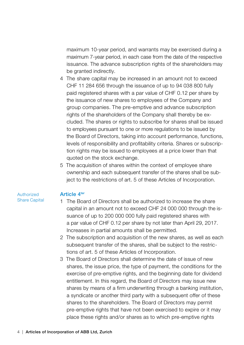maximum 10-year period, and warrants may be exercised during a maximum 7-year period, in each case from the date of the respective issuance. The advance subscription rights of the shareholders may be granted indirectly.

- 4 The share capital may be increased in an amount not to exceed CHF 11 284 656 through the issuance of up to 94 038 800 fully paid registered shares with a par value of CHF 0.12 per share by the issuance of new shares to employees of the Company and group companies. The pre-emptive and advance subscription rights of the shareholders of the Company shall thereby be excluded. The shares or rights to subscribe for shares shall be issued to employees pursuant to one or more regulations to be issued by the Board of Directors, taking into account performance, functions, levels of responsibility and profitability criteria. Shares or subscription rights may be issued to employees at a price lower than that quoted on the stock exchange.
- 5 The acquisition of shares within the context of employee share ownership and each subsequent transfer of the shares shall be subject to the restrictions of art. 5 of these Articles of Incorporation.

#### Authorized Share Capital

#### Article 4ter

- 1 The Board of Directors shall be authorized to increase the share capital in an amount not to exceed CHF 24 000 000 through the issuance of up to 200 000 000 fully paid registered shares with a par value of CHF 0.12 per share by not later than April 29, 2017. Increases in partial amounts shall be permitted.
- 2 The subscription and acquisition of the new shares, as well as each subsequent transfer of the shares, shall be subject to the restrictions of art. 5 of these Articles of Incorporation.
- 3 The Board of Directors shall determine the date of issue of new shares, the issue price, the type of payment, the conditions for the exercise of pre-emptive rights, and the beginning date for dividend entitlement. In this regard, the Board of Directors may issue new shares by means of a firm underwriting through a banking institution, a syndicate or another third party with a subsequent offer of these shares to the shareholders. The Board of Directors may permit pre-emptive rights that have not been exercised to expire or it may place these rights and/or shares as to which pre-emptive rights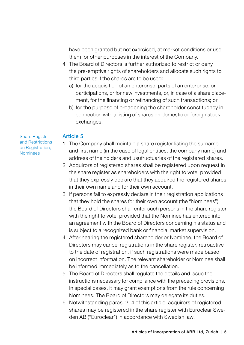have been granted but not exercised, at market conditions or use them for other purposes in the interest of the Company.

- 4 The Board of Directors is further authorized to restrict or deny the pre-emptive rights of shareholders and allocate such rights to third parties if the shares are to be used:
	- a) for the acquisition of an enterprise, parts of an enterprise, or participations, or for new investments, or, in case of a share placement, for the financing or refinancing of such transactions; or
	- b) for the purpose of broadening the shareholder constituency in connection with a listing of shares on domestic or foreign stock exchanges.

### Article 5

Share Register and Restrictions on Registration. Nominees

- 1 The Company shall maintain a share register listing the surname and first name (in the case of legal entities, the company name) and address of the holders and usufructuaries of the registered shares.
- 2 Acquirors of registered shares shall be registered upon request in the share register as shareholders with the right to vote, provided that they expressly declare that they acquired the registered shares in their own name and for their own account.
- 3 If persons fail to expressly declare in their registration applications that they hold the shares for their own account (the "Nominees"), the Board of Directors shall enter such persons in the share register with the right to vote, provided that the Nominee has entered into an agreement with the Board of Directors concerning his status and is subject to a recognized bank or financial market supervision.
- 4 After hearing the registered shareholder or Nominee, the Board of Directors may cancel registrations in the share register, retroactive to the date of registration, if such registrations were made based on incorrect information. The relevant shareholder or Nominee shall be informed immediately as to the cancellation.
- 5 The Board of Directors shall regulate the details and issue the instructions necessary for compliance with the preceding provisions. In special cases, it may grant exemptions from the rule concerning Nominees. The Board of Directors may delegate its duties.
- 6 Notwithstanding paras. 2–4 of this article, acquirors of registered shares may be registered in the share register with Euroclear Sweden AB ("Euroclear") in accordance with Swedish law.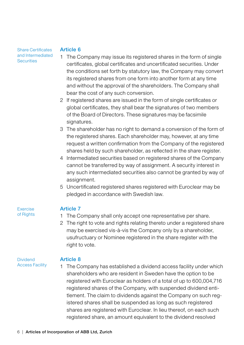Share Certificates and Intermediated **Securities** 

#### Article 6

- 1 The Company may issue its registered shares in the form of single certificates, global certificates and uncertificated securities. Under the conditions set forth by statutory law, the Company may convert its registered shares from one form into another form at any time and without the approval of the shareholders. The Company shall bear the cost of any such conversion.
- 2 If registered shares are issued in the form of single certificates or global certificates, they shall bear the signatures of two members of the Board of Directors. These signatures may be facsimile signatures.
- 3 The shareholder has no right to demand a conversion of the form of the registered shares. Each shareholder may, however, at any time request a written confirmation from the Company of the registered shares held by such shareholder, as reflected in the share register.
- 4 Intermediated securities based on registered shares of the Company cannot be transferred by way of assignment. A security interest in any such intermediated securities also cannot be granted by way of assignment.
- 5 Uncertificated registered shares registered with Euroclear may be pledged in accordance with Swedish law.

Exercise of Rights

#### Article 7

- 1 The Company shall only accept one representative per share.
- 2 The right to vote and rights relating thereto under a registered share may be exercised vis-à-vis the Company only by a shareholder, usufructuary or Nominee registered in the share register with the right to vote.

#### Dividend Access Facility

### Article 8

1 The Company has established a dividend access facility under which shareholders who are resident in Sweden have the option to be registered with Euroclear as holders of a total of up to 600,004,716 registered shares of the Company, with suspended dividend entitlement. The claim to dividends against the Company on such registered shares shall be suspended as long as such registered shares are registered with Euroclear. In lieu thereof, on each such registered share, an amount equivalent to the dividend resolved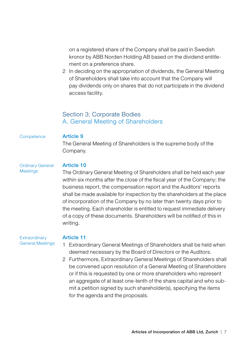on a registered share of the Company shall be paid in Swedish kronor by ABB Norden Holding AB based on the dividend entitlement on a preference share.

2 In deciding on the appropriation of dividends, the General Meeting of Shareholders shall take into account that the Company will pay dividends only on shares that do not participate in the dividend access facility.

### Section 3: Corporate Bodies A. General Meeting of Shareholders

#### **Competence**

#### Article 9

The General Meeting of Shareholders is the supreme body of the Company.

#### Ordinary General Meetings

#### Article 10

The Ordinary General Meeting of Shareholders shall be held each year within six months after the close of the fiscal year of the Company; the business report, the compensation report and the Auditors' reports shall be made available for inspection by the shareholders at the place of incorporation of the Company by no later than twenty days prior to the meeting. Each shareholder is entitled to request immediate delivery of a copy of these documents. Shareholders will be notified of this in writing.

**Extraordinary** General Meetings

- 1 Extraordinary General Meetings of Shareholders shall be held when deemed necessary by the Board of Directors or the Auditors.
- 2 Furthermore, Extraordinary General Meetings of Shareholders shall be convened upon resolution of a General Meeting of Shareholders or if this is requested by one or more shareholders who represent an aggregate of at least one-tenth of the share capital and who submit a petition signed by such shareholder(s), specifying the items for the agenda and the proposals.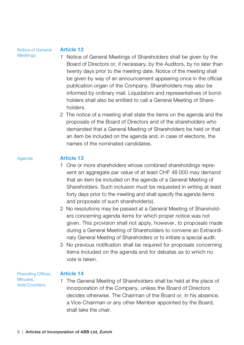#### Notice of General **Meetings**

#### Article 12

- 1 Notice of General Meetings of Shareholders shall be given by the Board of Directors or, if necessary, by the Auditors, by no later than twenty days prior to the meeting date. Notice of the meeting shall be given by way of an announcement appearing once in the official publication organ of the Company. Shareholders may also be informed by ordinary mail. Liquidators and representatives of bondholders shall also be entitled to call a General Meeting of Shareholders.
- 2 The notice of a meeting shall state the items on the agenda and the proposals of the Board of Directors and of the shareholders who demanded that a General Meeting of Shareholders be held or that an item be included on the agenda and, in case of elections, the names of the nominated candidates.

#### Agenda

### Article 13

- 1 One or more shareholders whose combined shareholdings represent an aggregate par value of at least CHF 48 000 may demand that an item be included on the agenda of a General Meeting of Shareholders. Such inclusion must be requested in writing at least forty days prior to the meeting and shall specify the agenda items and proposals of such shareholder(s).
- 2 No resolutions may be passed at a General Meeting of Shareholders concerning agenda items for which proper notice was not given. This provision shall not apply, however, to proposals made during a General Meeting of Shareholders to convene an Extraordinary General Meeting of Shareholders or to initiate a special audit.
- 3 No previous notification shall be required for proposals concerning items included on the agenda and for debates as to which no vote is taken.

Presiding Officer, Minutes, Vote Counters

### Article 14

1 The General Meeting of Shareholders shall be held at the place of incorporation of the Company, unless the Board of Directors decides otherwise. The Chairman of the Board or, in his absence, a Vice-Chairman or any other Member appointed by the Board, shall take the chair.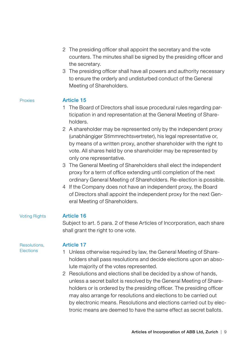- 2 The presiding officer shall appoint the secretary and the vote counters. The minutes shall be signed by the presiding officer and the secretary.
- 3 The presiding officer shall have all powers and authority necessary to ensure the orderly and undisturbed conduct of the General Meeting of Shareholders.

#### Proxies

### Article 15

- 1 The Board of Directors shall issue procedural rules regarding participation in and representation at the General Meeting of Shareholders.
- 2 A shareholder may be represented only by the independent proxy (unabhängiger Stimmrechtsvertreter), his legal representative or, by means of a written proxy, another shareholder with the right to vote. All shares held by one shareholder may be represented by only one representative.
- 3 The General Meeting of Shareholders shall elect the independent proxy for a term of office extending until completion of the next ordinary General Meeting of Shareholders. Re-election is possible.
- 4 If the Company does not have an independent proxy, the Board of Directors shall appoint the independent proxy for the next General Meeting of Shareholders.

#### Voting Rights

### Article 16

Subject to art. 5 para. 2 of these Articles of Incorporation, each share shall grant the right to one vote.

#### Resolutions, **Elections**

- Article 17
- 1 Unless otherwise required by law, the General Meeting of Shareholders shall pass resolutions and decide elections upon an absolute majority of the votes represented.
- 2 Resolutions and elections shall be decided by a show of hands, unless a secret ballot is resolved by the General Meeting of Shareholders or is ordered by the presiding officer. The presiding officer may also arrange for resolutions and elections to be carried out by electronic means. Resolutions and elections carried out by electronic means are deemed to have the same effect as secret ballots.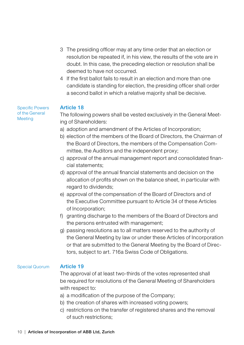- 3 The presiding officer may at any time order that an election or resolution be repeated if, in his view, the results of the vote are in doubt. In this case, the preceding election or resolution shall be deemed to have not occurred.
- 4 If the first ballot fails to result in an election and more than one candidate is standing for election, the presiding officer shall order a second ballot in which a relative majority shall be decisive.

#### Specific Powers of the General **Meeting**

#### Article 18

The following powers shall be vested exclusively in the General Meeting of Shareholders:

- a) adoption and amendment of the Articles of Incorporation;
- b) election of the members of the Board of Directors, the Chairman of the Board of Directors, the members of the Compensation Committee, the Auditors and the independent proxy;
- c) approval of the annual management report and consolidated financial statements;
- d) approval of the annual financial statements and decision on the allocation of profits shown on the balance sheet, in particular with regard to dividends;
- e) approval of the compensation of the Board of Directors and of the Executive Committee pursuant to Article 34 of these Articles of Incorporation;
- f) granting discharge to the members of the Board of Directors and the persons entrusted with management;
- g) passing resolutions as to all matters reserved to the authority of the General Meeting by law or under these Articles of Incorporation or that are submitted to the General Meeting by the Board of Directors, subject to art. 716a Swiss Code of Obligations.

#### Article 19 Special Quorum

The approval of at least two-thirds of the votes represented shall be required for resolutions of the General Meeting of Shareholders with respect to:

- a) a modification of the purpose of the Company;
- b) the creation of shares with increased voting powers;
- c) restrictions on the transfer of registered shares and the removal of such restrictions;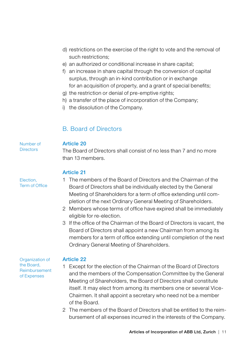- d) restrictions on the exercise of the right to vote and the removal of such restrictions:
- e) an authorized or conditional increase in share capital;
- f) an increase in share capital through the conversion of capital surplus, through an in-kind contribution or in exchange for an acquisition of property, and a grant of special benefits;
- g) the restriction or denial of pre-emptive rights;
- h) a transfer of the place of incorporation of the Company;
- i) the dissolution of the Company.

## B. Board of Directors

### Article 20

Number of **Directors** 

Election, Term of Office The Board of Directors shall consist of no less than 7 and no more than 13 members.

### Article 21

### 1 The members of the Board of Directors and the Chairman of the Board of Directors shall be individually elected by the General Meeting of Shareholders for a term of office extending until completion of the next Ordinary General Meeting of Shareholders.

- 2 Members whose terms of office have expired shall be immediately eligible for re-election.
- 3 If the office of the Chairman of the Board of Directors is vacant, the Board of Directors shall appoint a new Chairman from among its members for a term of office extending until completion of the next Ordinary General Meeting of Shareholders.

Organization of the Board, Reimbursement of Expenses

- 1 Except for the election of the Chairman of the Board of Directors and the members of the Compensation Committee by the General Meeting of Shareholders, the Board of Directors shall constitute itself. It may elect from among its members one or several Vice-Chairmen. It shall appoint a secretary who need not be a member of the Board.
- 2 The members of the Board of Directors shall be entitled to the reimbursement of all expenses incurred in the interests of the Company.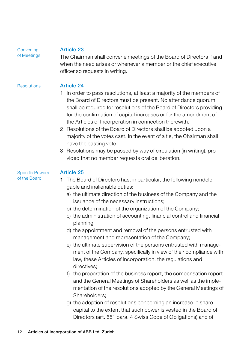#### **Convening** of Meetings

### Article 23

The Chairman shall convene meetings of the Board of Directors if and when the need arises or whenever a member or the chief executive officer so requests in writing.

#### Article 24 **Resolutions**

- 1 In order to pass resolutions, at least a majority of the members of the Board of Directors must be present. No attendance quorum shall be required for resolutions of the Board of Directors providing for the confirmation of capital increases or for the amendment of the Articles of Incorporation in connection therewith.
- 2 Resolutions of the Board of Directors shall be adopted upon a majority of the votes cast. In the event of a tie, the Chairman shall have the casting vote.
- 3 Resolutions may be passed by way of circulation (in writing), provided that no member requests oral deliberation.

#### Article 25 Specific Powers of the Board

- 1 The Board of Directors has, in particular, the following nondelegable and inalienable duties:
	- a) the ultimate direction of the business of the Company and the issuance of the necessary instructions;
	- b) the determination of the organization of the Company;
	- c) the administration of accounting, financial control and financial planning;
	- d) the appointment and removal of the persons entrusted with management and representation of the Company;
	- e) the ultimate supervision of the persons entrusted with management of the Company, specifically in view of their compliance with law, these Articles of Incorporation, the regulations and directives;
	- f) the preparation of the business report, the compensation report and the General Meetings of Shareholders as well as the implementation of the resolutions adopted by the General Meetings of Shareholders;
	- g) the adoption of resolutions concerning an increase in share capital to the extent that such power is vested in the Board of Directors (art. 651 para. 4 Swiss Code of Obligations) and of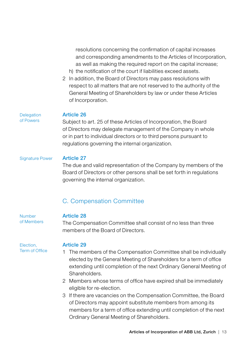resolutions concerning the confirmation of capital increases and corresponding amendments to the Articles of Incorporation, as well as making the required report on the capital increase;

- h) the notification of the court if liabilities exceed assets.
- 2 In addition, the Board of Directors may pass resolutions with respect to all matters that are not reserved to the authority of the General Meeting of Shareholders by law or under these Articles of Incorporation.

#### Delegation of Powers

### Article 26

Subject to art. 25 of these Articles of Incorporation, the Board of Directors may delegate management of the Company in whole or in part to individual directors or to third persons pursuant to regulations governing the internal organization.

### Signature Power

### Article 27

The due and valid representation of the Company by members of the Board of Directors or other persons shall be set forth in regulations governing the internal organization.

### C. Compensation Committee

#### Article 28

The Compensation Committee shall consist of no less than three members of the Board of Directors.

#### Election, Term of Office

Number of Members

- 1 The members of the Compensation Committee shall be individually elected by the General Meeting of Shareholders for a term of office extending until completion of the next Ordinary General Meeting of Shareholders.
- 2 Members whose terms of office have expired shall be immediately eligible for re-election.
- 3 If there are vacancies on the Compensation Committee, the Board of Directors may appoint substitute members from among its members for a term of office extending until completion of the next Ordinary General Meeting of Shareholders.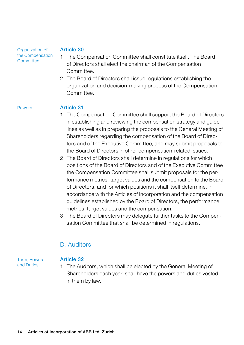Organization of the Compensation **Committee** 

#### Article 30

- 1 The Compensation Committee shall constitute itself. The Board of Directors shall elect the chairman of the Compensation Committee.
- 2 The Board of Directors shall issue regulations establishing the organization and decision-making process of the Compensation Committee.

#### Powers

#### Article 31

- 1 The Compensation Committee shall support the Board of Directors in establishing and reviewing the compensation strategy and guidelines as well as in preparing the proposals to the General Meeting of Shareholders regarding the compensation of the Board of Directors and of the Executive Committee, and may submit proposals to the Board of Directors in other compensation-related issues.
- 2 The Board of Directors shall determine in regulations for which positions of the Board of Directors and of the Executive Committee the Compensation Committee shall submit proposals for the performance metrics, target values and the compensation to the Board of Directors, and for which positions it shall itself determine, in accordance with the Articles of Incorporation and the compensation guidelines established by the Board of Directors, the performance metrics, target values and the compensation.
- 3 The Board of Directors may delegate further tasks to the Compensation Committee that shall be determined in regulations.

### D. Auditors

Term, Powers and Duties

#### Article 32

1 The Auditors, which shall be elected by the General Meeting of Shareholders each year, shall have the powers and duties vested in them by law.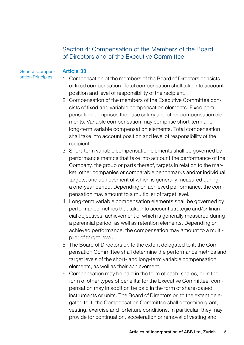### Section 4: Compensation of the Members of the Board of Directors and of the Executive Committee

#### General Compensation Principles

- 1 Compensation of the members of the Board of Directors consists of fixed compensation. Total compensation shall take into account position and level of responsibility of the recipient.
	- 2 Compensation of the members of the Executive Committee consists of fixed and variable compensation elements. Fixed compensation comprises the base salary and other compensation elements. Variable compensation may comprise short-term and long-term variable compensation elements. Total compensation shall take into account position and level of responsibility of the recipient.
	- 3 Short-term variable compensation elements shall be governed by performance metrics that take into account the performance of the Company, the group or parts thereof, targets in relation to the market, other companies or comparable benchmarks and/or individual targets, and achievement of which is generally measured during a one-year period. Depending on achieved performance, the compensation may amount to a multiplier of target level.
	- 4 Long-term variable compensation elements shall be governed by performance metrics that take into account strategic and/or financial objectives, achievement of which is generally measured during a perennial period, as well as retention elements. Depending on achieved performance, the compensation may amount to a multiplier of target level.
	- 5 The Board of Directors or, to the extent delegated to it, the Compensation Committee shall determine the performance metrics and target levels of the short- and long-term variable compensation elements, as well as their achievement.
	- 6 Compensation may be paid in the form of cash, shares, or in the form of other types of benefits; for the Executive Committee, compensation may in addition be paid in the form of share-based instruments or units. The Board of Directors or, to the extent delegated to it, the Compensation Committee shall determine grant, vesting, exercise and forfeiture conditions. In particular, they may provide for continuation, acceleration or removal of vesting and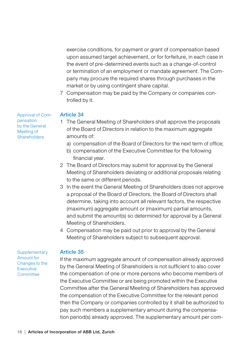exercise conditions, for payment or grant of compensation based upon assumed target achievement, or for forfeiture, in each case in the event of pre-determined events such as a change-of-control or termination of an employment or mandate agreement. The Company may procure the required shares through purchases in the market or by using contingent share capital.

7 Compensation may be paid by the Company or companies controlled by it.

Approval of Compensation by the General Meeting of **Shareholders** 

### Article 34

- 1 The General Meeting of Shareholders shall approve the proposals of the Board of Directors in relation to the maximum aggregate amounts of:
	- a) compensation of the Board of Directors for the next term of office;
	- b) compensation of the Executive Committee for the following financial year.
- 2 The Board of Directors may submit for approval by the General Meeting of Shareholders deviating or additional proposals relating to the same or different periods.
- 3 In the event the General Meeting of Shareholders does not approve a proposal of the Board of Directors, the Board of Directors shall determine, taking into account all relevant factors, the respective (maximum) aggregate amount or (maximum) partial amounts, and submit the amount(s) so determined for approval by a General Meeting of Shareholders.
- 4 Compensation may be paid out prior to approval by the General Meeting of Shareholders subject to subsequent approval.

**Supplementary** Amount for Changes to the **Executive Committee** 

#### Article 35

If the maximum aggregate amount of compensation already approved by the General Meeting of Shareholders is not sufficient to also cover the compensation of one or more persons who become members of the Executive Committee or are being promoted within the Executive Committee after the General Meeting of Shareholders has approved the compensation of the Executive Committee for the relevant period then the Company or companies controlled by it shall be authorized to pay such members a supplementary amount during the compensation period(s) already approved. The supplementary amount per com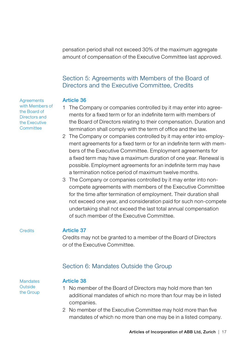pensation period shall not exceed 30% of the maximum aggregate amount of compensation of the Executive Committee last approved.

### Section 5: Agreements with Members of the Board of Directors and the Executive Committee, Credits

#### Article 36

- 1 The Company or companies controlled by it may enter into agreements for a fixed term or for an indefinite term with members of the Board of Directors relating to their compensation. Duration and termination shall comply with the term of office and the law.
- 2 The Company or companies controlled by it may enter into employment agreements for a fixed term or for an indefinite term with members of the Executive Committee. Employment agreements for a fixed term may have a maximum duration of one year. Renewal is possible. Employment agreements for an indefinite term may have a termination notice period of maximum twelve months.
- 3 The Company or companies controlled by it may enter into noncompete agreements with members of the Executive Committee for the time after termination of employment. Their duration shall not exceed one year, and consideration paid for such non-compete undertaking shall not exceed the last total annual compensation of such member of the Executive Committee.

#### **Credits**

#### Article 37

Credits may not be granted to a member of the Board of Directors or of the Executive Committee.

### Section 6: Mandates Outside the Group

**Mandates** Outside the Group

#### Article 38

- 1 No member of the Board of Directors may hold more than ten additional mandates of which no more than four may be in listed companies.
- 2 No member of the Executive Committee may hold more than five mandates of which no more than one may be in a listed company.

Articles of Incorporation of ABB Ltd, Zurich | 17

**Agreements** with Members of the Board of Directors and the Executive **Committee**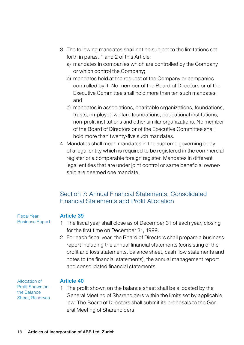- 3 The following mandates shall not be subject to the limitations set forth in paras. 1 and 2 of this Article:
	- a) mandates in companies which are controlled by the Company or which control the Company;
	- b) mandates held at the request of the Company or companies controlled by it. No member of the Board of Directors or of the Executive Committee shall hold more than ten such mandates; and
	- c) mandates in associations, charitable organizations, foundations, trusts, employee welfare foundations, educational institutions, non-profit institutions and other similar organizations. No member of the Board of Directors or of the Executive Committee shall hold more than twenty-five such mandates.
- 4 Mandates shall mean mandates in the supreme governing body of a legal entity which is required to be registered in the commercial register or a comparable foreign register. Mandates in different legal entities that are under joint control or same beneficial ownership are deemed one mandate.

### Section 7: Annual Financial Statements, Consolidated Financial Statements and Profit Allocation

Fiscal Year, Business Report

### Article 39

- 1 The fiscal year shall close as of December 31 of each year, closing for the first time on December 31, 1999.
- 2 For each fiscal year, the Board of Directors shall prepare a business report including the annual financial statements (consisting of the profit and loss statements, balance sheet, cash flow statements and notes to the financial statements), the annual management report and consolidated financial statements.

Allocation of Profit Shown on the Balance Sheet, Reserves

### Article 40

1 The profit shown on the balance sheet shall be allocated by the General Meeting of Shareholders within the limits set by applicable law. The Board of Directors shall submit its proposals to the General Meeting of Shareholders.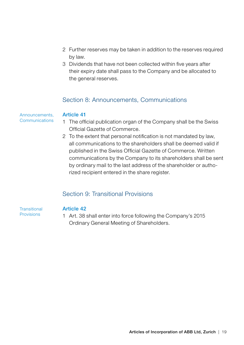- 2 Further reserves may be taken in addition to the reserves required by law.
- 3 Dividends that have not been collected within five years after their expiry date shall pass to the Company and be allocated to the general reserves.

### Section 8: Announcements, Communications

#### Announcements, **Communications**

### Article 41

- 1 The official publication organ of the Company shall be the Swiss Official Gazette of Commerce.
- 2 To the extent that personal notification is not mandated by law, all communications to the shareholders shall be deemed valid if published in the Swiss Official Gazette of Commerce. Written communications by the Company to its shareholders shall be sent by ordinary mail to the last address of the shareholder or authorized recipient entered in the share register.

## Section 9: Transitional Provisions

**Transitional** Provisions

### Article 42

1 Art. 38 shall enter into force following the Company's 2015 Ordinary General Meeting of Shareholders.